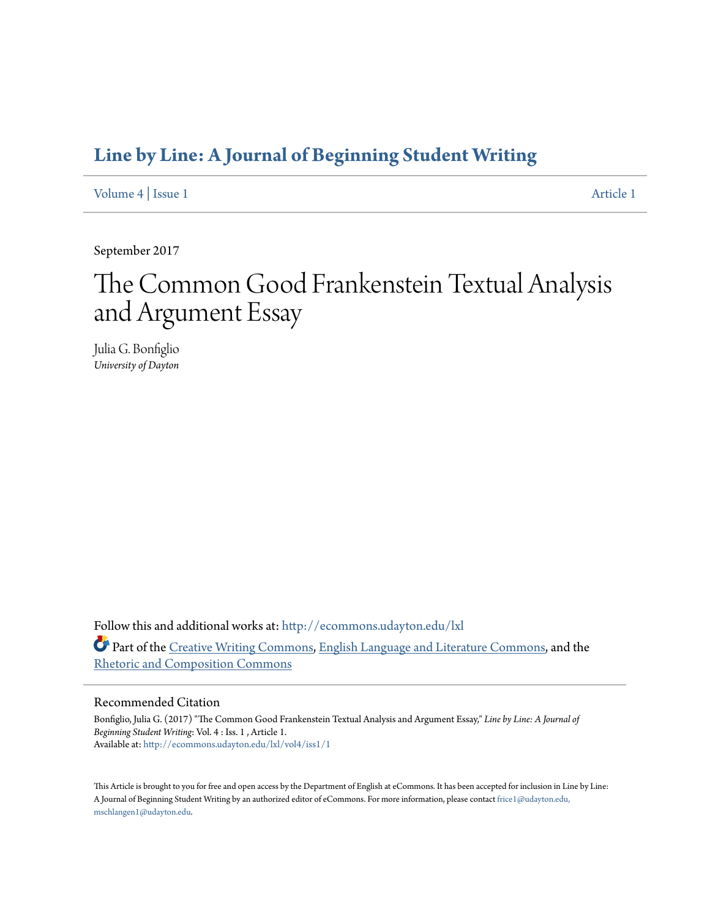### **[Line by Line: A Journal of Beginning Student Writing](http://ecommons.udayton.edu/lxl?utm_source=ecommons.udayton.edu%2Flxl%2Fvol4%2Fiss1%2F1&utm_medium=PDF&utm_campaign=PDFCoverPages)**

[Volume 4](http://ecommons.udayton.edu/lxl/vol4?utm_source=ecommons.udayton.edu%2Flxl%2Fvol4%2Fiss1%2F1&utm_medium=PDF&utm_campaign=PDFCoverPages) | [Issue 1](http://ecommons.udayton.edu/lxl/vol4/iss1?utm_source=ecommons.udayton.edu%2Flxl%2Fvol4%2Fiss1%2F1&utm_medium=PDF&utm_campaign=PDFCoverPages) [Article 1](http://ecommons.udayton.edu/lxl/vol4/iss1/1?utm_source=ecommons.udayton.edu%2Flxl%2Fvol4%2Fiss1%2F1&utm_medium=PDF&utm_campaign=PDFCoverPages)

September 2017

# The Common Good Frankenstein Textual Analysis and Argument Essay

Julia G. Bonfiglio *University of Dayton*

Follow this and additional works at: [http://ecommons.udayton.edu/lxl](http://ecommons.udayton.edu/lxl?utm_source=ecommons.udayton.edu%2Flxl%2Fvol4%2Fiss1%2F1&utm_medium=PDF&utm_campaign=PDFCoverPages) Part of the [Creative Writing Commons](http://network.bepress.com/hgg/discipline/574?utm_source=ecommons.udayton.edu%2Flxl%2Fvol4%2Fiss1%2F1&utm_medium=PDF&utm_campaign=PDFCoverPages), [English Language and Literature Commons](http://network.bepress.com/hgg/discipline/455?utm_source=ecommons.udayton.edu%2Flxl%2Fvol4%2Fiss1%2F1&utm_medium=PDF&utm_campaign=PDFCoverPages), and the [Rhetoric and Composition Commons](http://network.bepress.com/hgg/discipline/573?utm_source=ecommons.udayton.edu%2Flxl%2Fvol4%2Fiss1%2F1&utm_medium=PDF&utm_campaign=PDFCoverPages)

#### Recommended Citation

Bonfiglio, Julia G. (2017) "The Common Good Frankenstein Textual Analysis and Argument Essay," *Line by Line: A Journal of Beginning Student Writing*: Vol. 4 : Iss. 1 , Article 1. Available at: [http://ecommons.udayton.edu/lxl/vol4/iss1/1](http://ecommons.udayton.edu/lxl/vol4/iss1/1?utm_source=ecommons.udayton.edu%2Flxl%2Fvol4%2Fiss1%2F1&utm_medium=PDF&utm_campaign=PDFCoverPages)

This Article is brought to you for free and open access by the Department of English at eCommons. It has been accepted for inclusion in Line by Line: A Journal of Beginning Student Writing by an authorized editor of eCommons. For more information, please contact [frice1@udayton.edu,](mailto:frice1@udayton.edu,%20mschlangen1@udayton.edu) [mschlangen1@udayton.edu.](mailto:frice1@udayton.edu,%20mschlangen1@udayton.edu)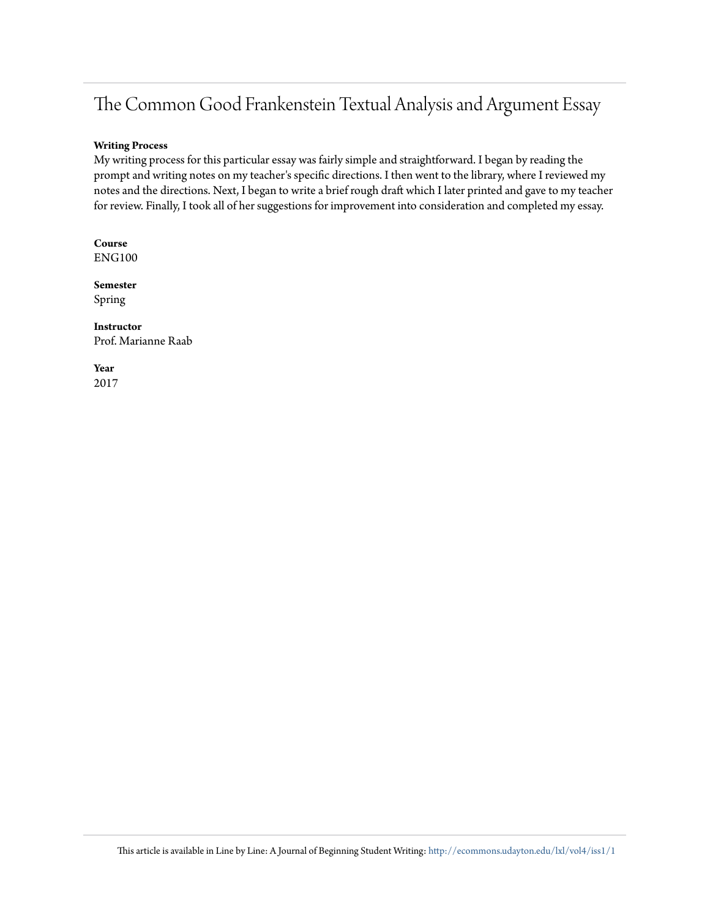## The Common Good Frankenstein Textual Analysis and Argument Essay

#### **Writing Process**

My writing process for this particular essay was fairly simple and straightforward. I began by reading the prompt and writing notes on my teacher's specific directions. I then went to the library, where I reviewed my notes and the directions. Next, I began to write a brief rough draft which I later printed and gave to my teacher for review. Finally, I took all of her suggestions for improvement into consideration and completed my essay.

**Course** ENG100

**Semester** Spring

**Instructor** Prof. Marianne Raab

**Year** 2017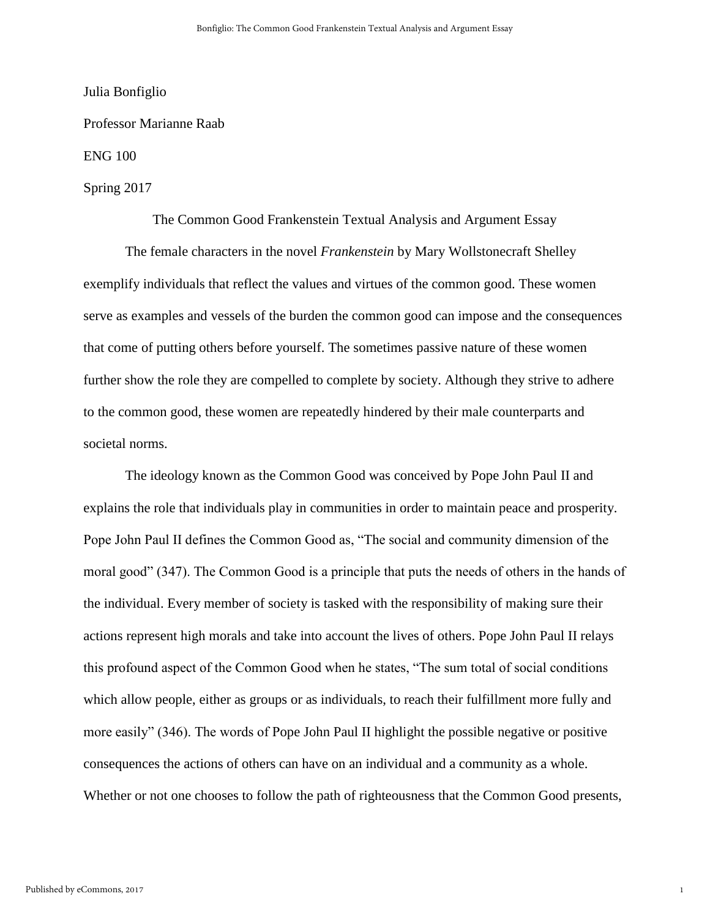Julia Bonfiglio

Professor Marianne Raab

ENG 100

### Spring 2017

The Common Good Frankenstein Textual Analysis and Argument Essay

The female characters in the novel *Frankenstein* by Mary Wollstonecraft Shelley exemplify individuals that reflect the values and virtues of the common good. These women serve as examples and vessels of the burden the common good can impose and the consequences that come of putting others before yourself. The sometimes passive nature of these women further show the role they are compelled to complete by society. Although they strive to adhere to the common good, these women are repeatedly hindered by their male counterparts and societal norms.

The ideology known as the Common Good was conceived by Pope John Paul II and explains the role that individuals play in communities in order to maintain peace and prosperity. Pope John Paul II defines the Common Good as, "The social and community dimension of the moral good" (347). The Common Good is a principle that puts the needs of others in the hands of the individual. Every member of society is tasked with the responsibility of making sure their actions represent high morals and take into account the lives of others. Pope John Paul II relays this profound aspect of the Common Good when he states, "The sum total of social conditions which allow people, either as groups or as individuals, to reach their fulfillment more fully and more easily" (346). The words of Pope John Paul II highlight the possible negative or positive consequences the actions of others can have on an individual and a community as a whole. Whether or not one chooses to follow the path of righteousness that the Common Good presents,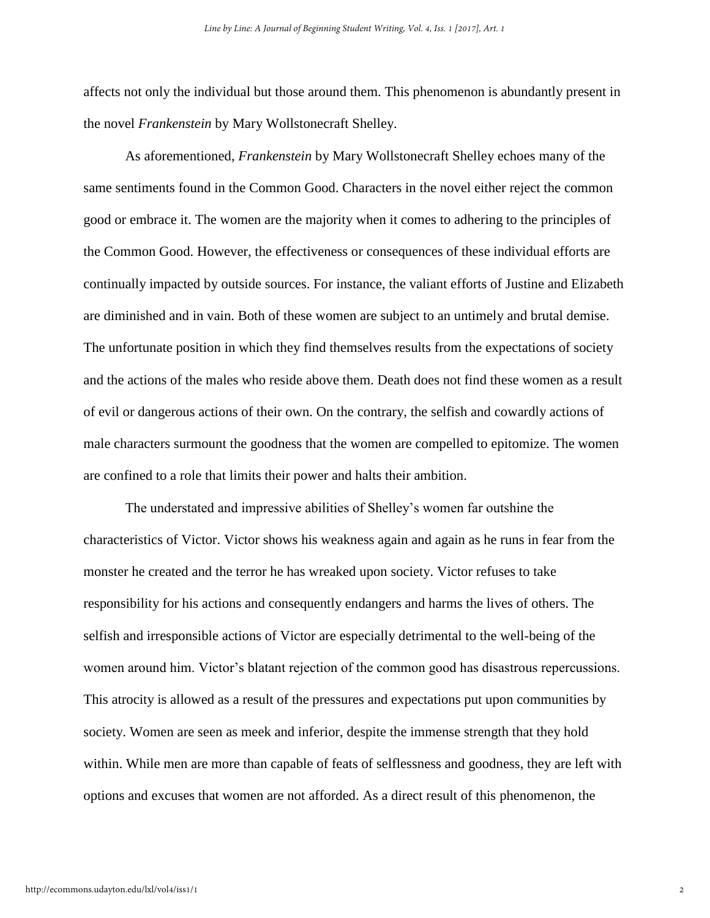affects not only the individual but those around them. This phenomenon is abundantly present in the novel *Frankenstein* by Mary Wollstonecraft Shelley.

As aforementioned, *Frankenstein* by Mary Wollstonecraft Shelley echoes many of the same sentiments found in the Common Good. Characters in the novel either reject the common good or embrace it. The women are the majority when it comes to adhering to the principles of the Common Good. However, the effectiveness or consequences of these individual efforts are continually impacted by outside sources. For instance, the valiant efforts of Justine and Elizabeth are diminished and in vain. Both of these women are subject to an untimely and brutal demise. The unfortunate position in which they find themselves results from the expectations of society and the actions of the males who reside above them. Death does not find these women as a result of evil or dangerous actions of their own. On the contrary, the selfish and cowardly actions of male characters surmount the goodness that the women are compelled to epitomize. The women are confined to a role that limits their power and halts their ambition.

The understated and impressive abilities of Shelley's women far outshine the characteristics of Victor. Victor shows his weakness again and again as he runs in fear from the monster he created and the terror he has wreaked upon society. Victor refuses to take responsibility for his actions and consequently endangers and harms the lives of others. The selfish and irresponsible actions of Victor are especially detrimental to the well-being of the women around him. Victor's blatant rejection of the common good has disastrous repercussions. This atrocity is allowed as a result of the pressures and expectations put upon communities by society. Women are seen as meek and inferior, despite the immense strength that they hold within. While men are more than capable of feats of selflessness and goodness, they are left with options and excuses that women are not afforded. As a direct result of this phenomenon, the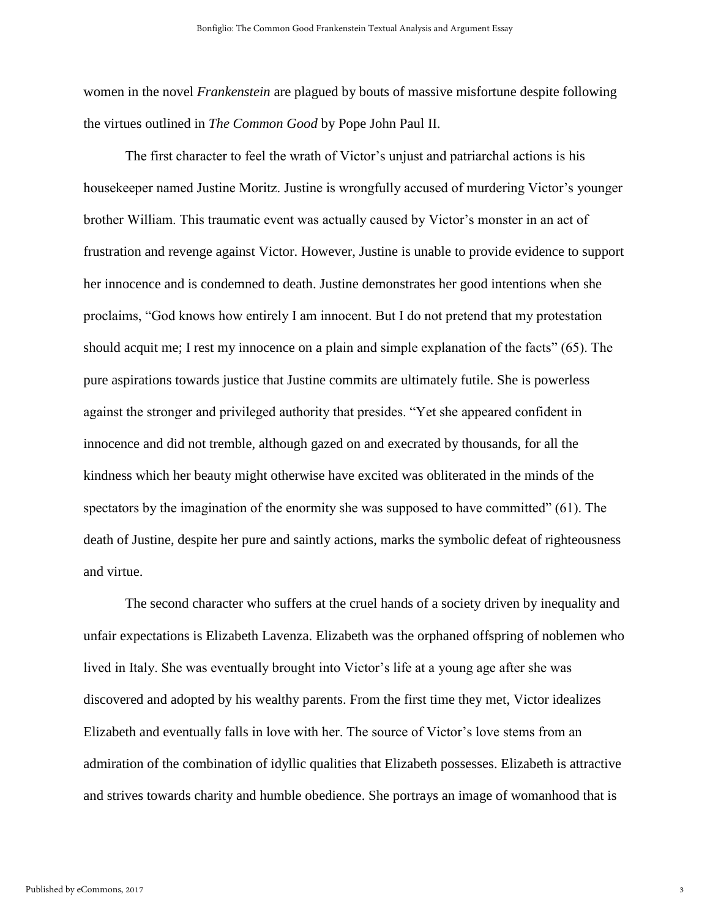women in the novel *Frankenstein* are plagued by bouts of massive misfortune despite following the virtues outlined in *The Common Good* by Pope John Paul II.

The first character to feel the wrath of Victor's unjust and patriarchal actions is his housekeeper named Justine Moritz. Justine is wrongfully accused of murdering Victor's younger brother William. This traumatic event was actually caused by Victor's monster in an act of frustration and revenge against Victor. However, Justine is unable to provide evidence to support her innocence and is condemned to death. Justine demonstrates her good intentions when she proclaims, "God knows how entirely I am innocent. But I do not pretend that my protestation should acquit me; I rest my innocence on a plain and simple explanation of the facts" (65). The pure aspirations towards justice that Justine commits are ultimately futile. She is powerless against the stronger and privileged authority that presides. "Yet she appeared confident in innocence and did not tremble, although gazed on and execrated by thousands, for all the kindness which her beauty might otherwise have excited was obliterated in the minds of the spectators by the imagination of the enormity she was supposed to have committed" (61). The death of Justine, despite her pure and saintly actions, marks the symbolic defeat of righteousness and virtue.

The second character who suffers at the cruel hands of a society driven by inequality and unfair expectations is Elizabeth Lavenza. Elizabeth was the orphaned offspring of noblemen who lived in Italy. She was eventually brought into Victor's life at a young age after she was discovered and adopted by his wealthy parents. From the first time they met, Victor idealizes Elizabeth and eventually falls in love with her. The source of Victor's love stems from an admiration of the combination of idyllic qualities that Elizabeth possesses. Elizabeth is attractive and strives towards charity and humble obedience. She portrays an image of womanhood that is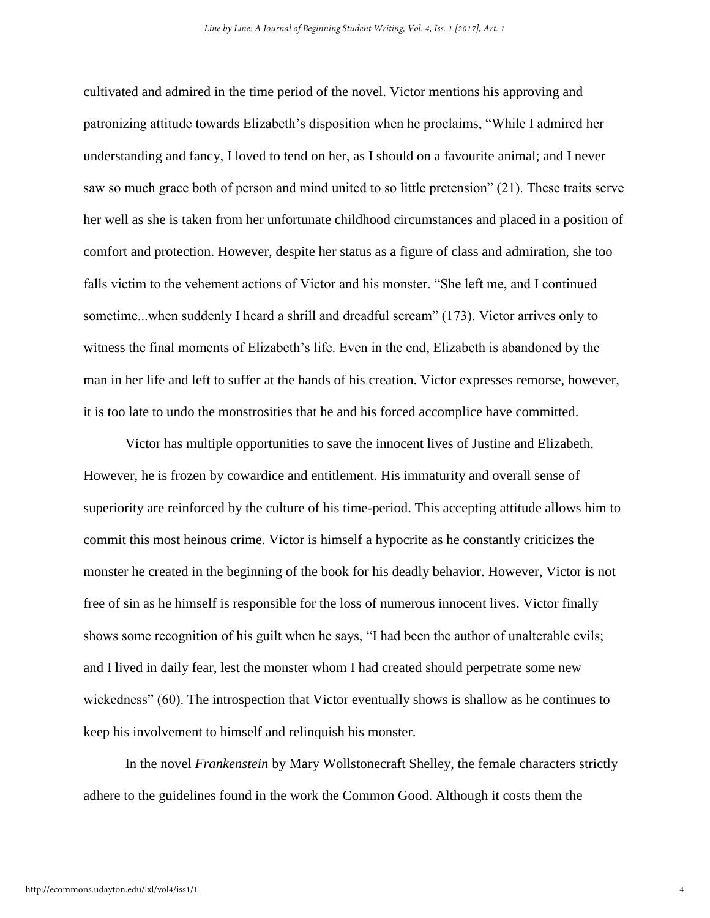cultivated and admired in the time period of the novel. Victor mentions his approving and patronizing attitude towards Elizabeth's disposition when he proclaims, "While I admired her understanding and fancy, I loved to tend on her, as I should on a favourite animal; and I never saw so much grace both of person and mind united to so little pretension" (21). These traits serve her well as she is taken from her unfortunate childhood circumstances and placed in a position of comfort and protection. However, despite her status as a figure of class and admiration, she too falls victim to the vehement actions of Victor and his monster. "She left me, and I continued sometime...when suddenly I heard a shrill and dreadful scream" (173). Victor arrives only to witness the final moments of Elizabeth's life. Even in the end, Elizabeth is abandoned by the man in her life and left to suffer at the hands of his creation. Victor expresses remorse, however, it is too late to undo the monstrosities that he and his forced accomplice have committed.

Victor has multiple opportunities to save the innocent lives of Justine and Elizabeth. However, he is frozen by cowardice and entitlement. His immaturity and overall sense of superiority are reinforced by the culture of his time-period. This accepting attitude allows him to commit this most heinous crime. Victor is himself a hypocrite as he constantly criticizes the monster he created in the beginning of the book for his deadly behavior. However, Victor is not free of sin as he himself is responsible for the loss of numerous innocent lives. Victor finally shows some recognition of his guilt when he says, "I had been the author of unalterable evils; and I lived in daily fear, lest the monster whom I had created should perpetrate some new wickedness" (60). The introspection that Victor eventually shows is shallow as he continues to keep his involvement to himself and relinquish his monster.

In the novel *Frankenstein* by Mary Wollstonecraft Shelley, the female characters strictly adhere to the guidelines found in the work the Common Good. Although it costs them the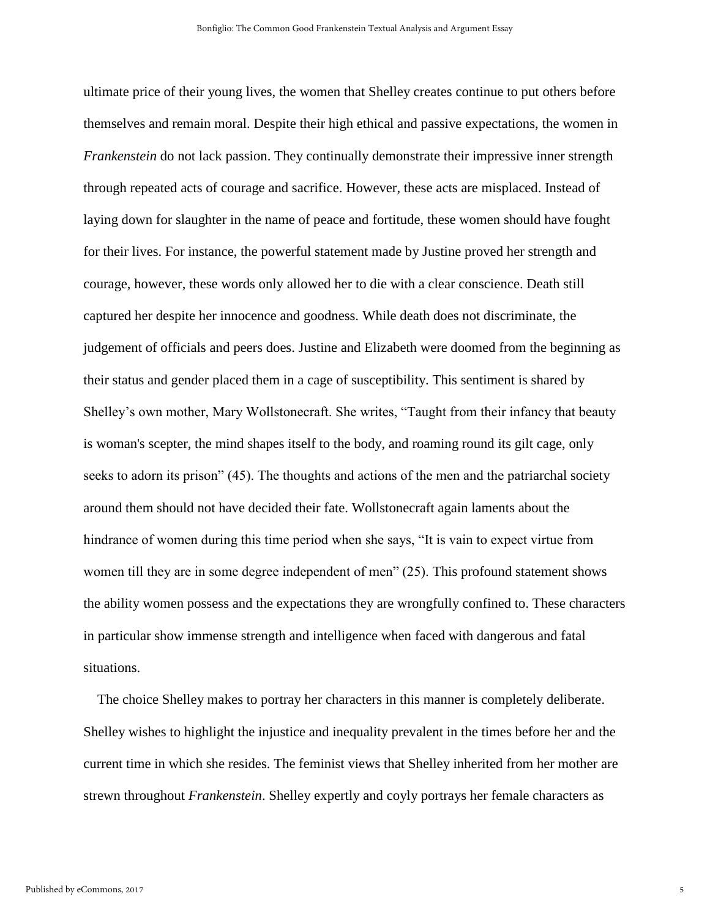ultimate price of their young lives, the women that Shelley creates continue to put others before themselves and remain moral. Despite their high ethical and passive expectations, the women in *Frankenstein* do not lack passion. They continually demonstrate their impressive inner strength through repeated acts of courage and sacrifice. However, these acts are misplaced. Instead of laying down for slaughter in the name of peace and fortitude, these women should have fought for their lives. For instance, the powerful statement made by Justine proved her strength and courage, however, these words only allowed her to die with a clear conscience. Death still captured her despite her innocence and goodness. While death does not discriminate, the judgement of officials and peers does. Justine and Elizabeth were doomed from the beginning as their status and gender placed them in a cage of susceptibility. This sentiment is shared by Shelley's own mother, Mary Wollstonecraft. She writes, "Taught from their infancy that beauty is woman's scepter, the mind shapes itself to the body, and roaming round its gilt cage, only seeks to adorn its prison" (45). The thoughts and actions of the men and the patriarchal society around them should not have decided their fate. Wollstonecraft again laments about the hindrance of women during this time period when she says, "It is vain to expect virtue from women till they are in some degree independent of men" (25). This profound statement shows the ability women possess and the expectations they are wrongfully confined to. These characters in particular show immense strength and intelligence when faced with dangerous and fatal situations.

 The choice Shelley makes to portray her characters in this manner is completely deliberate. Shelley wishes to highlight the injustice and inequality prevalent in the times before her and the current time in which she resides. The feminist views that Shelley inherited from her mother are strewn throughout *Frankenstein*. Shelley expertly and coyly portrays her female characters as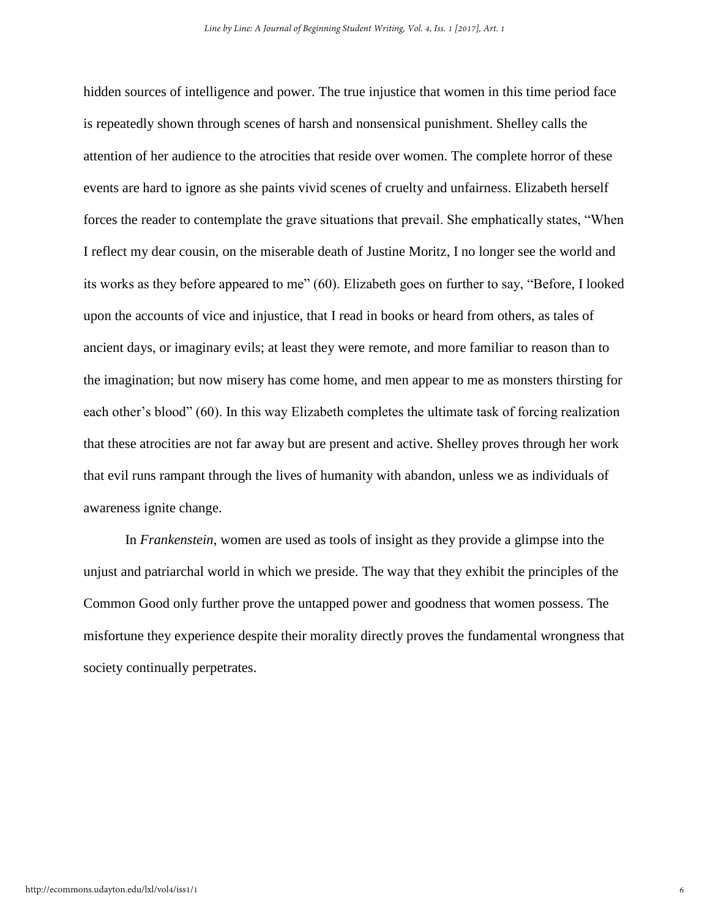hidden sources of intelligence and power. The true injustice that women in this time period face is repeatedly shown through scenes of harsh and nonsensical punishment. Shelley calls the attention of her audience to the atrocities that reside over women. The complete horror of these events are hard to ignore as she paints vivid scenes of cruelty and unfairness. Elizabeth herself forces the reader to contemplate the grave situations that prevail. She emphatically states, "When I reflect my dear cousin, on the miserable death of Justine Moritz, I no longer see the world and its works as they before appeared to me" (60). Elizabeth goes on further to say, "Before, I looked upon the accounts of vice and injustice, that I read in books or heard from others, as tales of ancient days, or imaginary evils; at least they were remote, and more familiar to reason than to the imagination; but now misery has come home, and men appear to me as monsters thirsting for each other's blood" (60). In this way Elizabeth completes the ultimate task of forcing realization that these atrocities are not far away but are present and active. Shelley proves through her work that evil runs rampant through the lives of humanity with abandon, unless we as individuals of awareness ignite change.

In *Frankenstein*, women are used as tools of insight as they provide a glimpse into the unjust and patriarchal world in which we preside. The way that they exhibit the principles of the Common Good only further prove the untapped power and goodness that women possess. The misfortune they experience despite their morality directly proves the fundamental wrongness that society continually perpetrates.